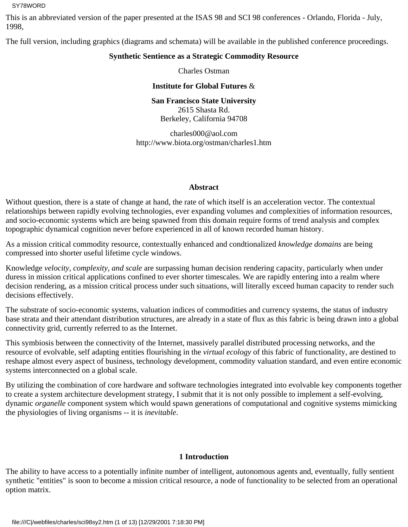This is an abbreviated version of the paper presented at the ISAS 98 and SCI 98 conferences - Orlando, Florida - July, 1998,

The full version, including graphics (diagrams and schemata) will be available in the published conference proceedings.

# **Synthetic Sentience as a Strategic Commodity Resource**

Charles Ostman

**Institute for Global Futures** &

**San Francisco State University** 2615 Shasta Rd. Berkeley, California 94708

charles000@aol.com http://www.biota.org/ostman/charles1.htm

#### **Abstract**

Without question, there is a state of change at hand, the rate of which itself is an acceleration vector. The contextual relationships between rapidly evolving technologies, ever expanding volumes and complexities of information resources, and socio-economic systems which are being spawned from this domain require forms of trend analysis and complex topographic dynamical cognition never before experienced in all of known recorded human history.

As a mission critical commodity resource, contextually enhanced and condtionalized *knowledge domains* are being compressed into shorter useful lifetime cycle windows.

Knowledge *velocity, complexity, and scale* are surpassing human decision rendering capacity, particularly when under duress in mission critical applications confined to ever shorter timescales. We are rapidly entering into a realm where decision rendering, as a mission critical process under such situations, will literally exceed human capacity to render such decisions effectively.

The substrate of socio-economic systems, valuation indices of commodities and currency systems, the status of industry base strata and their attendant distribution structures, are already in a state of flux as this fabric is being drawn into a global connectivity grid, currently referred to as the Internet.

This symbiosis between the connectivity of the Internet, massively parallel distributed processing networks, and the resource of evolvable, self adapting entities flourishing in the *virtual ecology* of this fabric of functionality, are destined to reshape almost every aspect of business, technology development, commodity valuation standard, and even entire economic systems interconnected on a global scale.

By utilizing the combination of core hardware and software technologies integrated into evolvable key components together to create a system architecture development strategy, I submit that it is not only possible to implement a self-evolving, dynamic *organelle* component system which would spawn generations of computational and cognitive systems mimicking the physiologies of living organisms -- it is *inevitable*.

# **1 Introduction**

The ability to have access to a potentially infinite number of intelligent, autonomous agents and, eventually, fully sentient synthetic "entities" is soon to become a mission critical resource, a node of functionality to be selected from an operational option matrix.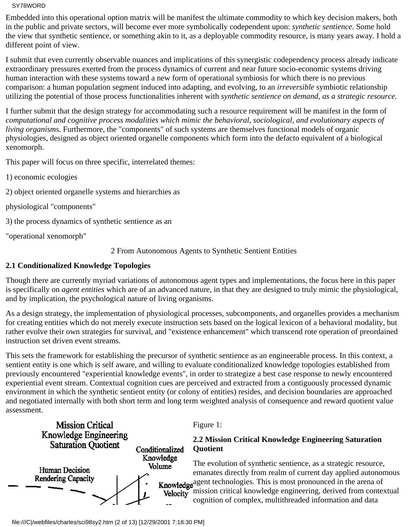Embedded into this operational option matrix will be manifest the ultimate commodity to which key decision makers, both in the public and private sectors, will become ever more symbolically codependent upon: *synthetic sentience*. Some hold the view that synthetic sentience, or something akin to it, as a deployable commodity resource, is many years away. I hold a different point of view.

I submit that even currently observable nuances and implications of this synergistic codependency process already indicate extraordinary pressures exerted from the process dynamics of current and near future socio-economic systems driving human interaction with these systems toward a new form of operational symbiosis for which there is no previous comparison: a human population segment induced into adapting, and evolving, to an *irreversible* symbiotic relationship utilizing the potential of those process functionalities inherent with *synthetic sentience on demand, as a strategic resource.*

I further submit that the design strategy for accommodating such a resource requirement will be manifest in the form of *computational and cognitive process modalities which mimic the behavioral, sociological, and evolutionary aspects of living organisms*. Furthermore, the "components" of such systems are themselves functional models of organic physiologies, designed as object oriented organelle components which form into the defacto equivalent of a biological xenomorph.

This paper will focus on three specific, interrelated themes:

- 1) economic ecologies
- 2) object oriented organelle systems and hierarchies as
- physiological "components"
- 3) the process dynamics of synthetic sentience as an
- "operational xenomorph"

2 From Autonomous Agents to Synthetic Sentient Entities

## **2.1 Conditionalized Knowledge Topologies**

Though there are currently myriad variations of autonomous agent types and implementations, the focus here in this paper is specifically on *agent entities* which are of an advanced nature, in that they are designed to truly mimic the physiological, and by implication, the psychological nature of living organisms.

As a design strategy, the implementation of physiological processes, subcomponents, and organelles provides a mechanism for creating entities which do not merely execute instruction sets based on the logical lexicon of a behavioral modality, but rather evolve their own strategies for survival, and "existence enhancement" which transcend rote operation of preordained instruction set driven event streams.

This sets the framework for establishing the precursor of synthetic sentience as an engineerable process. In this context, a sentient entity is one which is self aware, and willing to evaluate conditionalized knowledge topologies established from previously encountered "experiential knowledge events", in order to strategize a best case response to newly encountered experiential event stream. Contextual cognition cues are perceived and extracted from a contiguously processed dynamic environment in which the synthetic sentient entity (or colony of entities) resides, and decision boundaries are approached and negotiated internally with both short term and long term weighted analysis of consequence and reward quotient value assessment.



Figure 1:

## **2.2 Mission Critical Knowledge Engineering Saturation Quotient**

The evolution of synthetic sentience, as a strategic resource, emanates directly from realm of current day applied autonomous **Knowledge**<sup>agent</sup> technologies. This is most pronounced in the arena of Velocity<sup>-</sup>mission critical knowledge engineering, derived from contextual cognition of complex, multithreaded information and data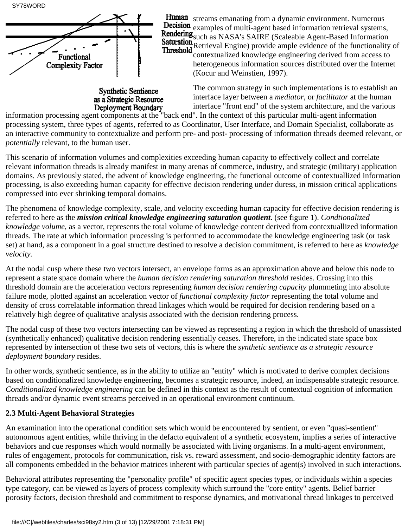

**Synthetic Sentience** as a Strategic Resource

Human streams emanating from a dynamic environment. Numerous **Decision** examples of multi-agent based information retrieval systems, Rendering Such as NASA's SAIRE (Scaleable Agent-Based Information Saturation<br>Retrieval Engine) provide ample evidence of the functionality of Threshold **NEUTEVAL LIEUC** provides and provide the contextualized knowledge engineering derived from access to

heterogeneous information sources distributed over the Internet (Kocur and Weinstien, 1997).

The common strategy in such implementations is to establish an interface layer between a *mediator*, or *facilitator* at the human interface "front end" of the system architecture, and the various

**information processing agent components at the "back end". In the context of this particular multi-agent information**<br>Information processing agent components at the "back end". In the context of this particular multi-agen processing system, three types of agents, referred to as Coordinator, User Interface, and Domain Specialist, collaborate as an interactive community to contextualize and perform pre- and post- processing of information threads deemed relevant, or *potentially* relevant, to the human user.

This scenario of information volumes and complexities exceeding human capacity to effectively collect and correlate relevant information threads is already manifest in many arenas of commerce, industry, and strategic (military) application domains. As previously stated, the advent of knowledge engineering, the functional outcome of contextuallized information processing, is also exceeding human capacity for effective decision rendering under duress, in mission critical applications compressed into ever shrinking temporal domains.

The phenomena of knowledge complexity, scale, and velocity exceeding human capacity for effective decision rendering is referred to here as the *mission critical knowledge engineering saturation quotient*. (see figure 1). *Condtionalized knowledge volume*, as a vector, represents the total volume of knowledge content derived from contextuallized information threads. The rate at which information processing is performed to accommodate the knowledge engineering task (or task set) at hand, as a component in a goal structure destined to resolve a decision commitment, is referred to here as *knowledge velocity.*

At the nodal cusp where these two vectors intersect, an envelope forms as an approximation above and below this node to represent a state space domain where the *human decision rendering saturation threshold* resides. Crossing into this threshold domain are the acceleration vectors representing *human decision rendering capacity* plummeting into absolute failure mode, plotted against an acceleration vector of *functional complexity factor* representing the total volume and density of cross correlatable information thread linkages which would be required for decision rendering based on a relatively high degree of qualitative analysis associated with the decision rendering process.

The nodal cusp of these two vectors intersecting can be viewed as representing a region in which the threshold of unassisted (synthetically enhanced) qualitative decision rendering essentially ceases. Therefore, in the indicated state space box represented by intersection of these two sets of vectors, this is where the *synthetic sentience as a strategic resource deployment boundary* resides.

In other words, synthetic sentience, as in the ability to utilize an "entity" which is motivated to derive complex decisions based on conditionalized knowledge engineering, becomes a strategic resource, indeed, an indispensable strategic resource. *Conditionalized knowledge engineering* can be defined in this context as the result of contextual cognition of information threads and/or dynamic event streams perceived in an operational environment continuum.

# **2.3 Multi-Agent Behavioral Strategies**

An examination into the operational condition sets which would be encountered by sentient, or even "quasi-sentient" autonomous agent entities, while thriving in the defacto equivalent of a synthetic ecosystem, implies a series of interactive behaviors and cue responses which would normally be associated with living organisms. In a multi-agent environment, rules of engagement, protocols for communication, risk vs. reward assessment, and socio-demographic identity factors are all components embedded in the behavior matrices inherent with particular species of agent(s) involved in such interactions.

Behavioral attributes representing the "personality profile" of specific agent species types, or individuals within a species type category, can be viewed as layers of process complexity which surround the "core entity" agents. Belief barrier porosity factors, decision threshold and commitment to response dynamics, and motivational thread linkages to perceived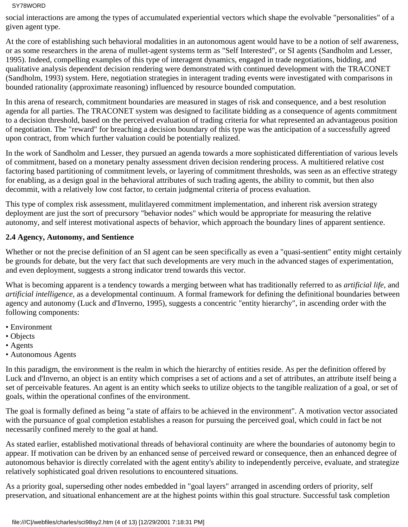social interactions are among the types of accumulated experiential vectors which shape the evolvable "personalities" of a given agent type.

At the core of establishing such behavioral modalities in an autonomous agent would have to be a notion of self awareness, or as some researchers in the arena of mullet-agent systems term as "Self Interested", or SI agents (Sandholm and Lesser, 1995). Indeed, compelling examples of this type of interagent dynamics, engaged in trade negotiations, bidding, and qualitative analysis dependent decision rendering were demonstrated with continued development with the TRACONET (Sandholm, 1993) system. Here, negotiation strategies in interagent trading events were investigated with comparisons in bounded rationality (approximate reasoning) influenced by resource bounded computation.

In this arena of research, commitment boundaries are measured in stages of risk and consequence, and a best resolution agenda for all parties. The TRACONET system was designed to facilitate bidding as a consequence of agents commitment to a decision threshold, based on the perceived evaluation of trading criteria for what represented an advantageous position of negotiation. The "reward" for breaching a decision boundary of this type was the anticipation of a successfully agreed upon contract, from which further valuation could be potentially realized.

In the work of Sandholm and Lesser, they pursued an agenda towards a more sophisticated differentiation of various levels of commitment, based on a monetary penalty assessment driven decision rendering process. A multitiered relative cost factoring based partitioning of commitment levels, or layering of commitment thresholds, was seen as an effective strategy for enabling, as a design goal in the behavioral attributes of such trading agents, the ability to commit, but then also decommit, with a relatively low cost factor, to certain judgmental criteria of process evaluation.

This type of complex risk assessment, mulitlayered commitment implementation, and inherent risk aversion strategy deployment are just the sort of precursory "behavior nodes" which would be appropriate for measuring the relative autonomy, and self interest motivational aspects of behavior, which approach the boundary lines of apparent sentience.

## **2.4 Agency, Autonomy, and Sentience**

Whether or not the precise definition of an SI agent can be seen specifically as even a "quasi-sentient" entity might certainly be grounds for debate, but the very fact that such developments are very much in the advanced stages of experimentation, and even deployment, suggests a strong indicator trend towards this vector.

What is becoming apparent is a tendency towards a merging between what has traditionally referred to as *artificial life,* and *artificial intelligence,* as a developmental continuum. A formal framework for defining the definitional boundaries between agency and autonomy (Luck and d'Inverno, 1995), suggests a concentric "entity hierarchy", in ascending order with the following components:

- Environment
- Objects
- Agents
- Autonomous Agents

In this paradigm, the environment is the realm in which the hierarchy of entities reside. As per the definition offered by Luck and d'Inverno, an object is an entity which comprises a set of actions and a set of attributes, an attribute itself being a set of perceivable features. An agent is an entity which seeks to utilize objects to the tangible realization of a goal, or set of goals, within the operational confines of the environment.

The goal is formally defined as being "a state of affairs to be achieved in the environment". A motivation vector associated with the pursuance of goal completion establishes a reason for pursuing the perceived goal, which could in fact be not necessarily confined merely to the goal at hand.

As stated earlier, established motivational threads of behavioral continuity are where the boundaries of autonomy begin to appear. If motivation can be driven by an enhanced sense of perceived reward or consequence, then an enhanced degree of autonomous behavior is directly correlated with the agent entity's ability to independently perceive, evaluate, and strategize relatively sophisticated goal driven resolutions to encountered situations.

As a priority goal, superseding other nodes embedded in "goal layers" arranged in ascending orders of priority, self preservation, and situational enhancement are at the highest points within this goal structure. Successful task completion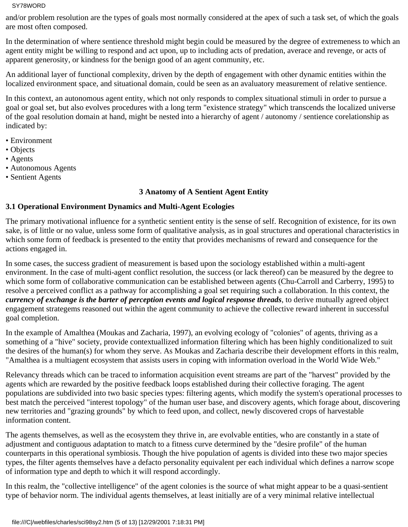and/or problem resolution are the types of goals most normally considered at the apex of such a task set, of which the goals are most often composed.

In the determination of where sentience threshold might begin could be measured by the degree of extremeness to which an agent entity might be willing to respond and act upon, up to including acts of predation, averace and revenge, or acts of apparent generosity, or kindness for the benign good of an agent community, etc.

An additional layer of functional complexity, driven by the depth of engagement with other dynamic entities within the localized environment space, and situational domain, could be seen as an avaluatory measurement of relative sentience.

In this context, an autonomous agent entity, which not only responds to complex situational stimuli in order to pursue a goal or goal set, but also evolves procedures with a long term "existence strategy" which transcends the localized universe of the goal resolution domain at hand, might be nested into a hierarchy of agent / autonomy / sentience corelationship as indicated by:

- Environment
- Objects
- Agents
- Autonomous Agents
- Sentient Agents

## **3 Anatomy of A Sentient Agent Entity**

## **3.1 Operational Environment Dynamics and Multi-Agent Ecologies**

The primary motivational influence for a synthetic sentient entity is the sense of self. Recognition of existence, for its own sake, is of little or no value, unless some form of qualitative analysis, as in goal structures and operational characteristics in which some form of feedback is presented to the entity that provides mechanisms of reward and consequence for the actions engaged in.

In some cases, the success gradient of measurement is based upon the sociology established within a multi-agent environment. In the case of multi-agent conflict resolution, the success (or lack thereof) can be measured by the degree to which some form of collaborative communication can be established between agents (Chu-Carroll and Carberry, 1995) to resolve a perceived conflict as a pathway for accomplishing a goal set requiring such a collaboration. In this context, the *currency of exchange is the barter of perception events and logical response threads*, to derive mutually agreed object engagement strategems reasoned out within the agent community to achieve the collective reward inherent in successful goal completion.

In the example of Amalthea (Moukas and Zacharia, 1997), an evolving ecology of "colonies" of agents, thriving as a something of a "hive" society, provide contextuallized information filtering which has been highly conditionalized to suit the desires of the human(s) for whom they serve. As Moukas and Zacharia describe their development efforts in this realm, "Amalthea is a multiagent ecosystem that assists users in coping with information overload in the World Wide Web."

Relevancy threads which can be traced to information acquisition event streams are part of the "harvest" provided by the agents which are rewarded by the positive feedback loops established during their collective foraging. The agent populations are subdivided into two basic species types: filtering agents, which modify the system's operational processes to best match the perceived "interest topology" of the human user base, and discovery agents, which forage about, discovering new territories and "grazing grounds" by which to feed upon, and collect, newly discovered crops of harvestable information content.

The agents themselves, as well as the ecosystem they thrive in, are evolvable entities, who are constantly in a state of adjustment and contiguous adaptation to match to a fitness curve determined by the "desire profile" of the human counterparts in this operational symbiosis. Though the hive population of agents is divided into these two major species types, the filter agents themselves have a defacto personality equivalent per each individual which defines a narrow scope of information type and depth to which it will respond accordingly.

In this realm, the "collective intelligence" of the agent colonies is the source of what might appear to be a quasi-sentient type of behavior norm. The individual agents themselves, at least initially are of a very minimal relative intellectual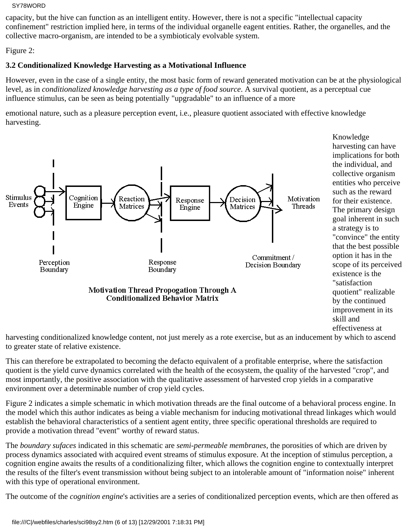capacity, but the hive can function as an intelligent entity. However, there is not a specific "intellectual capacity confinement" restriction implied here, in terms of the individual organelle eagent entities. Rather, the organelles, and the collective macro-organism, are intended to be a symbioticaly evolvable system.

Figure 2:

# **3.2 Conditionalized Knowledge Harvesting as a Motivational Influence**

However, even in the case of a single entity, the most basic form of reward generated motivation can be at the physiological level, as in *conditionalized knowledge harvesting as a type of food source*. A survival quotient, as a perceptual cue influence stimulus, can be seen as being potentially "upgradable" to an influence of a more

emotional nature, such as a pleasure perception event, i.e., pleasure quotient associated with effective knowledge harvesting.



effectiveness at

harvesting conditionalized knowledge content, not just merely as a rote exercise, but as an inducement by which to ascend to greater state of relative existence.

This can therefore be extrapolated to becoming the defacto equivalent of a profitable enterprise, where the satisfaction quotient is the yield curve dynamics correlated with the health of the ecosystem, the quality of the harvested "crop", and most importantly, the positive association with the qualitative assessment of harvested crop yields in a comparative environment over a determinable number of crop yield cycles.

Figure 2 indicates a simple schematic in which motivation threads are the final outcome of a behavioral process engine. In the model which this author indicates as being a viable mechanism for inducing motivational thread linkages which would establish the behavioral characteristics of a sentient agent entity, three specific operational thresholds are required to provide a motivation thread "event" worthy of reward status.

The *boundary sufaces* indicated in this schematic are *semi-permeable membranes*, the porosities of which are driven by process dynamics associated with acquired event streams of stimulus exposure. At the inception of stimulus perception, a cognition engine awaits the results of a conditionalizing filter, which allows the cognition engine to contextually interpret the results of the filter's event transmission without being subject to an intolerable amount of "information noise" inherent with this type of operational environment.

The outcome of the *cognition engine*'s activities are a series of conditionalized perception events, which are then offered as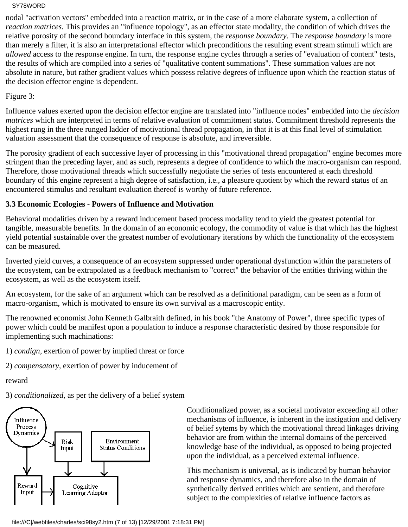nodal "activation vectors" embedded into a reaction matrix, or in the case of a more elaborate system, a collection of *reaction matrices*. This provides an "influence topology", as an effector state modality, the condition of which drives the relative porosity of the second boundary interface in this system, the *response boundary*. The *response boundary* is more than merely a filter, it is also an interpretational effector which preconditions the resulting event stream stimuli which are *allowed* access to the response engine. In turn, the response engine cycles through a series of "evaluation of content" tests, the results of which are compiled into a series of "qualitative content summations". These summation values are not absolute in nature, but rather gradient values which possess relative degrees of influence upon which the reaction status of the decision effector engine is dependent.

Figure 3:

Influence values exerted upon the decision effector engine are translated into "influence nodes" embedded into the *decision matrices* which are interpreted in terms of relative evaluation of commitment status. Commitment threshold represents the highest rung in the three runged ladder of motivational thread propagation, in that it is at this final level of stimulation valuation assessment that the consequence of response is absolute, and irreversible.

The porosity gradient of each successive layer of processing in this "motivational thread propagation" engine becomes more stringent than the preceding layer, and as such, represents a degree of confidence to which the macro-organism can respond. Therefore, those motivational threads which successfully negotiate the series of tests encountered at each threshold boundary of this engine represent a high degree of satisfaction, i.e., a pleasure quotient by which the reward status of an encountered stimulus and resultant evaluation thereof is worthy of future reference.

## **3.3 Economic Ecologies - Powers of Influence and Motivation**

Behavioral modalities driven by a reward inducement based process modality tend to yield the greatest potential for tangible, measurable benefits. In the domain of an economic ecology, the commodity of value is that which has the highest yield potential sustainable over the greatest number of evolutionary iterations by which the functionality of the ecosystem can be measured.

Inverted yield curves, a consequence of an ecosystem suppressed under operational dysfunction within the parameters of the ecosystem, can be extrapolated as a feedback mechanism to "correct" the behavior of the entities thriving within the ecosystem, as well as the ecosystem itself.

An ecosystem, for the sake of an argument which can be resolved as a definitional paradigm, can be seen as a form of macro-organism, which is motivated to ensure its own survival as a macroscopic entity.

The renowned economist John Kenneth Galbraith defined, in his book "the Anatomy of Power", three specific types of power which could be manifest upon a population to induce a response characteristic desired by those responsible for implementing such machinations:

1) *condign,* exertion of power by implied threat or force

2) *compensatory,* exertion of power by inducement of

reward

3) *conditionalized,* as per the delivery of a belief system



Conditionalized power, as a societal motivator exceeding all other mechanisms of influence, is inherent in the instigation and delivery of belief sytems by which the motivational thread linkages driving behavior are from within the internal domains of the perceived knowledge base of the individual, as opposed to being projected upon the individual, as a perceived external influence.

This mechanism is universal, as is indicated by human behavior and response dynamics, and therefore also in the domain of synthetically derived entities which are sentient, and therefore subject to the complexities of relative influence factors as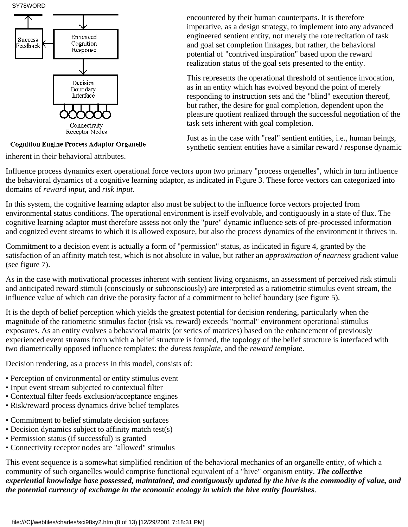

**Cognition Engine Process Adaptor Organelle** 

inherent in their behavioral attributes.

encountered by their human counterparts. It is therefore imperative, as a design strategy, to implement into any advanced engineered sentient entity, not merely the rote recitation of task and goal set completion linkages, but rather, the behavioral potential of "contrived inspiration" based upon the reward realization status of the goal sets presented to the entity.

This represents the operational threshold of sentience invocation, as in an entity which has evolved beyond the point of merely responding to instruction sets and the "blind" execution thereof, but rather, the desire for goal completion, dependent upon the pleasure quotient realized through the successful negotiation of the task sets inherent with goal completion.

Just as in the case with "real" sentient entities, i.e., human beings, synthetic sentient entities have a similar reward / response dynamic

Influence process dynamics exert operational force vectors upon two primary "process orgenelles", which in turn influence the behavioral dynamics of a cognitive learning adaptor, as indicated in Figure 3. These force vectors can categorized into domains of *reward input*, and *risk input.*

In this system, the cognitive learning adaptor also must be subject to the influence force vectors projected from environmental status conditions. The operational environment is itself evolvable, and contiguously in a state of flux. The cognitive learning adaptor must therefore assess not only the "pure" dynamic influence sets of pre-processed information and cognized event streams to which it is allowed exposure, but also the process dynamics of the environment it thrives in.

Commitment to a decision event is actually a form of "permission" status, as indicated in figure 4, granted by the satisfaction of an affinity match test, which is not absolute in value, but rather an *approximation of nearness* gradient value (see figure 7).

As in the case with motivational processes inherent with sentient living organisms, an assessment of perceived risk stimuli and anticipated reward stimuli (consciously or subconsciously) are interpreted as a ratiometric stimulus event stream, the influence value of which can drive the porosity factor of a commitment to belief boundary (see figure 5).

It is the depth of belief perception which yields the greatest potential for decision rendering, particularly when the magnitude of the ratiometric stimulus factor (risk vs. reward) exceeds "normal" environment operational stimulus exposures. As an entity evolves a behavioral matrix (or series of matrices) based on the enhancement of previously experienced event streams from which a belief structure is formed, the topology of the belief structure is interfaced with two diametrically opposed influence templates: the *duress template*, and the *reward template*.

Decision rendering, as a process in this model, consists of:

- Perception of environmental or entity stimulus event
- Input event stream subjected to contextual filter
- Contextual filter feeds exclusion/acceptance engines
- Risk/reward process dynamics drive belief templates
- Commitment to belief stimulate decision surfaces
- Decision dynamics subject to affinity match test(s)
- Permission status (if successful) is granted
- Connectivity receptor nodes are "allowed" stimulus

This event sequence is a somewhat simplified rendition of the behavioral mechanics of an organelle entity, of which a community of such organelles would comprise functional equivalent of a "hive" organism entity. *The collective experiential knowledge base possessed, maintained, and contiguously updated by the hive is the commodity of value, and the potential currency of exchange in the economic ecology in which the hive entity flourishes*.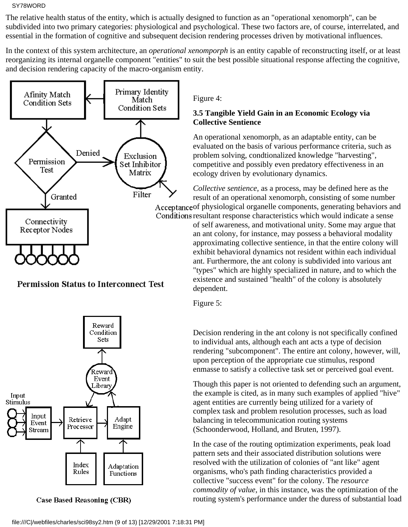The relative health status of the entity, which is actually designed to function as an "operational xenomorph", can be subdivided into two primary categories: physiological and psychological. These two factors are, of course, interrelated, and essential in the formation of cognitive and subsequent decision rendering processes driven by motivational influences.

In the context of this system architecture, an *operational xenomporph* is an entity capable of reconstructing itself, or at least reorganizing its internal organelle component "entities" to suit the best possible situational response affecting the cognitive, and decision rendering capacity of the macro-organism entity.



**Permission Status to Interconnect Test** 



**Case Based Reasoning (CBR)** 

Figure 4:

## **3.5 Tangible Yield Gain in an Economic Ecology via Collective Sentience**

An operational xenomorph, as an adaptable entity, can be evaluated on the basis of various performance criteria, such as problem solving, condtionalized knowledge "harvesting", competitive and possibly even predatory effectiveness in an ecology driven by evolutionary dynamics.

*Collective sentience,* as a process, may be defined here as the result of an operational xenomorph, consisting of some number Acceptance of physiological organelle components, generating behaviors and Conditions resultant response characteristics which would indicate a sense of self awareness, and motivational unity. Some may argue that an ant colony, for instance, may possess a behavioral modality approximating collective sentience, in that the entire colony will exhibit behavioral dynamics not resident within each individual ant. Furthermore, the ant colony is subdivided into various ant "types" which are highly specialized in nature, and to which the existence and sustained "health" of the colony is absolutely dependent.

Figure 5:

Decision rendering in the ant colony is not specifically confined to individual ants, although each ant acts a type of decision rendering "subcomponent". The entire ant colony, however, will, upon perception of the appropriate cue stimulus, respond enmasse to satisfy a collective task set or perceived goal event.

Though this paper is not oriented to defending such an argument, the example is cited, as in many such examples of applied "hive" agent entities are currently being utilized for a variety of complex task and problem resolution processes, such as load balancing in telecommunication routing systems (Schoonderwood, Holland, and Bruten, 1997).

In the case of the routing optimization experiments, peak load pattern sets and their associated distribution solutions were resolved with the utilization of colonies of "ant like" agent organisms, who's path finding characteristics provided a collective "success event" for the colony. The *resource commodity of value*, in this instance, was the optimization of the routing system's performance under the duress of substantial load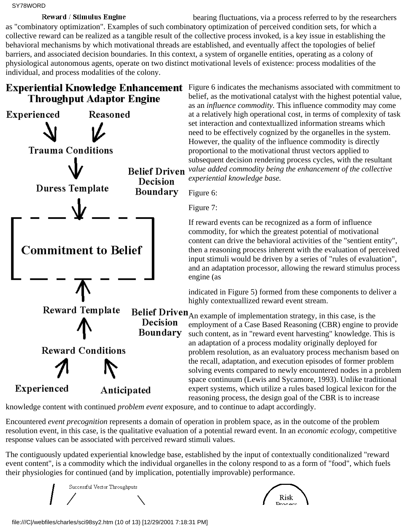Reward / Stimulus Engine bearing fluctuations, via a process referred to by the researchers as "combinatory optimization". Examples of such combinatory optimization of perceived condition sets, for which a collective reward can be realized as a tangible result of the collective process invoked, is a key issue in establishing the behavioral mechanisms by which motivational threads are established, and eventually affect the topologies of belief barriers, and associated decision boundaries. In this context, a system of organelle entities, operating as a colony of physiological autonomous agents, operate on two distinct motivational levels of existence: process modalities of the individual, and process modalities of the colony.

# **Throughput Adaptor Engine**



**Experiential Knowledge Enhancement** Figure 6 indicates the mechanisms associated with commitment to belief, as the motivational catalyst with the highest potential value, as an *influence commodity.* This influence commodity may come at a relatively high operational cost, in terms of complexity of task set interaction and contextuallized information streams which need to be effectively cognized by the organelles in the system. However, the quality of the influence commodity is directly proportional to the motivational thrust vectors applied to subsequent decision rendering process cycles, with the resultant *value added commodity being the enhancement of the collective experiential knowledge base.*

Figure 6:

Figure 7:

If reward events can be recognized as a form of influence commodity, for which the greatest potential of motivational content can drive the behavioral activities of the "sentient entity", then a reasoning process inherent with the evaluation of perceived input stimuli would be driven by a series of "rules of evaluation", and an adaptation processor, allowing the reward stimulus process engine (as

indicated in Figure 5) formed from these components to deliver a highly contextuallized reward event stream.

**Belief Driven**<sub>An example of implementation strategy, in this case, is the</sub> employment of a Case Based Reasoning (CBR) engine to provide such content, as in "reward event harvesting" knowledge. This is an adaptation of a process modality originally deployed for problem resolution, as an evaluatory process mechanism based on the recall, adaptation, and execution episodes of former problem solving events compared to newly encountered nodes in a problem space continuum (Lewis and Sycamore, 1993). Unlike traditional expert systems, which utilize a rules based logical lexicon for the reasoning process, the design goal of the CBR is to increase

knowledge content with continued *problem event* exposure, and to continue to adapt accordingly.

Encountered *event precognition* represents a domain of operation in problem space, as in the outcome of the problem resolution event, in this case, is the qualitative evaluation of a potential reward event. In an *economic ecology*, competitive response values can be associated with perceived reward stimuli values.

The contiguously updated experiential knowledge base, established by the input of contextually conditionalized "reward event content", is a commodity which the individual organelles in the colony respond to as a form of "food", which fuels their physiologies for continued (and by implication, potentially improvable) performance.

Successful Vector Throughputs



file:///C|/webfiles/charles/sci98sy2.htm (10 of 13) [12/29/2001 7:18:31 PM]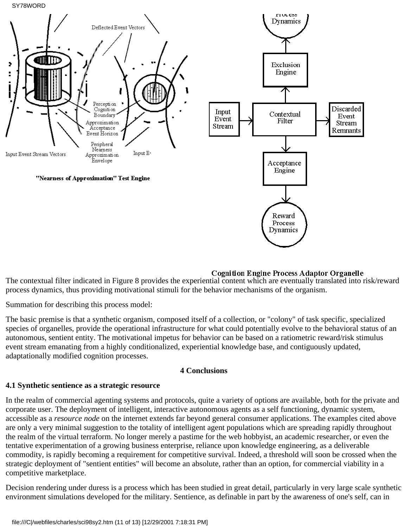SY78WORD



#### **Cognition Engine Process Adaptor Organelle**

The contextual filter indicated in Figure 8 provides the experiential content which are eventually translated into risk/reward process dynamics, thus providing motivational stimuli for the behavior mechanisms of the organism.

Summation for describing this process model:

The basic premise is that a synthetic organism, composed itself of a collection, or "colony" of task specific, specialized species of organelles, provide the operational infrastructure for what could potentially evolve to the behavioral status of an autonomous, sentient entity. The motivational impetus for behavior can be based on a ratiometric reward/risk stimulus event stream emanating from a highly conditionalized, experiential knowledge base, and contiguously updated, adaptationally modified cognition processes.

#### **4 Conclusions**

#### **4.1 Synthetic sentience as a strategic resource**

In the realm of commercial agenting systems and protocols, quite a variety of options are available, both for the private and corporate user. The deployment of intelligent, interactive autonomous agents as a self functioning, dynamic system, accessible as a *resource node* on the internet extends far beyond general consumer applications. The examples cited above are only a very minimal suggestion to the totality of intelligent agent populations which are spreading rapidly throughout the realm of the virtual terraform. No longer merely a pastime for the web hobbyist, an academic researcher, or even the tentative experimentation of a growing business enterprise, reliance upon knowledge engineering, as a deliverable commodity, is rapidly becoming a requirement for competitive survival. Indeed, a threshold will soon be crossed when the strategic deployment of "sentient entities" will become an absolute, rather than an option, for commercial viability in a competitive marketplace.

Decision rendering under duress is a process which has been studied in great detail, particularly in very large scale synthetic environment simulations developed for the military. Sentience, as definable in part by the awareness of one's self, can in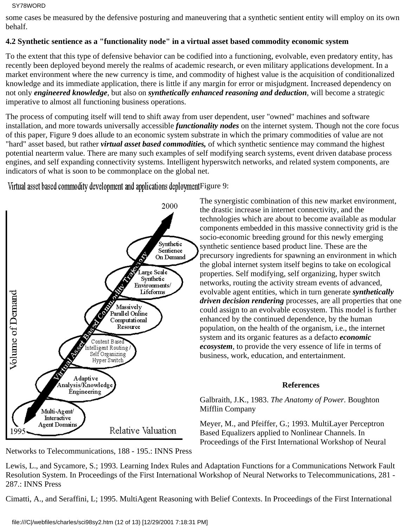some cases be measured by the defensive posturing and maneuvering that a synthetic sentient entity will employ on its own behalf.

## **4.2 Synthetic sentience as a "functionality node" in a virtual asset based commodity economic system**

To the extent that this type of defensive behavior can be codified into a functioning, evolvable, even predatory entity, has recently been deployed beyond merely the realms of academic research, or even military applications development. In a market environment where the new currency is time, and commodity of highest value is the acquisition of conditionalized knowledge and its immediate application, there is little if any margin for error or misjudgment. Increased dependency on not only *engineered knowledge*, but also on *synthetically enhanced reasoning and deduction*, will become a strategic imperative to almost all functioning business operations.

The process of computing itself will tend to shift away from user dependent, user "owned" machines and software installation, and more towards universally accessible *functionality nodes* on the internet system. Though not the core focus of this paper, Figure 9 does allude to an economic system substrate in which the primary commodities of value are not "hard" asset based, but rather *virtual asset based commodities,* of which synthetic sentience may command the highest potential nearterm value. There are many such examples of self modifying search systems, event driven database process engines, and self expanding connectivity systems. Intelligent hyperswitch networks, and related system components, are indicators of what is soon to be commonplace on the global net.

Virtual asset based commodity development and applications deployment Figure 9:



Networks to Telecommunications, 188 - 195.: INNS Press

The synergistic combination of this new market environment, the drastic increase in internet connectivity, and the technologies which are about to become available as modular components embedded in this massive connectivity grid is the socio-economic breeding ground for this newly emerging synthetic sentience based product line. These are the precursory ingredients for spawning an environment in which the global internet system itself begins to take on ecological properties. Self modifying, self organizing, hyper switch networks, routing the activity stream events of advanced, evolvable agent entities, which in turn generate *synthetically driven decision rendering* processes, are all properties that one could assign to an evolvable ecosystem. This model is further enhanced by the continued dependence, by the human population, on the health of the organism, i.e., the internet system and its organic features as a defacto *economic ecosystem*, to provide the very essence of life in terms of business, work, education, and entertainment.

## **References**

Galbraith, J.K., 1983. *The Anatomy of Power.* Boughton Mifflin Company

Meyer, M., and Pfeiffer, G.; 1993. MultiLayer Perceptron Based Equalizers applied to Nonlinear Channels. In Proceedings of the First International Workshop of Neural

Lewis, L., and Sycamore, S.; 1993. Learning Index Rules and Adaptation Functions for a Communications Network Fault Resolution System. In Proceedings of the First International Workshop of Neural Networks to Telecommunications, 281 - 287.: INNS Press

Cimatti, A., and Seraffini, L; 1995. MultiAgent Reasoning with Belief Contexts. In Proceedings of the First International